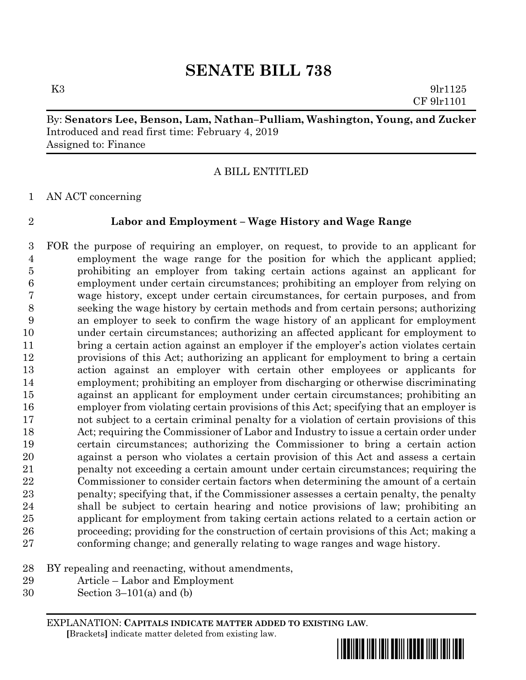# **SENATE BILL 738**

K3 9lr1125 CF 9lr1101

# By: **Senators Lee, Benson, Lam, Nathan–Pulliam, Washington, Young, and Zucker** Introduced and read first time: February 4, 2019 Assigned to: Finance

## A BILL ENTITLED

AN ACT concerning

### **Labor and Employment – Wage History and Wage Range**

 FOR the purpose of requiring an employer, on request, to provide to an applicant for employment the wage range for the position for which the applicant applied; prohibiting an employer from taking certain actions against an applicant for employment under certain circumstances; prohibiting an employer from relying on wage history, except under certain circumstances, for certain purposes, and from seeking the wage history by certain methods and from certain persons; authorizing an employer to seek to confirm the wage history of an applicant for employment under certain circumstances; authorizing an affected applicant for employment to bring a certain action against an employer if the employer's action violates certain provisions of this Act; authorizing an applicant for employment to bring a certain action against an employer with certain other employees or applicants for employment; prohibiting an employer from discharging or otherwise discriminating against an applicant for employment under certain circumstances; prohibiting an employer from violating certain provisions of this Act; specifying that an employer is not subject to a certain criminal penalty for a violation of certain provisions of this Act; requiring the Commissioner of Labor and Industry to issue a certain order under certain circumstances; authorizing the Commissioner to bring a certain action against a person who violates a certain provision of this Act and assess a certain penalty not exceeding a certain amount under certain circumstances; requiring the Commissioner to consider certain factors when determining the amount of a certain penalty; specifying that, if the Commissioner assesses a certain penalty, the penalty shall be subject to certain hearing and notice provisions of law; prohibiting an applicant for employment from taking certain actions related to a certain action or proceeding; providing for the construction of certain provisions of this Act; making a conforming change; and generally relating to wage ranges and wage history.

- BY repealing and reenacting, without amendments,
- Article Labor and Employment
- Section 3–101(a) and (b)

EXPLANATION: **CAPITALS INDICATE MATTER ADDED TO EXISTING LAW**.  **[**Brackets**]** indicate matter deleted from existing law.

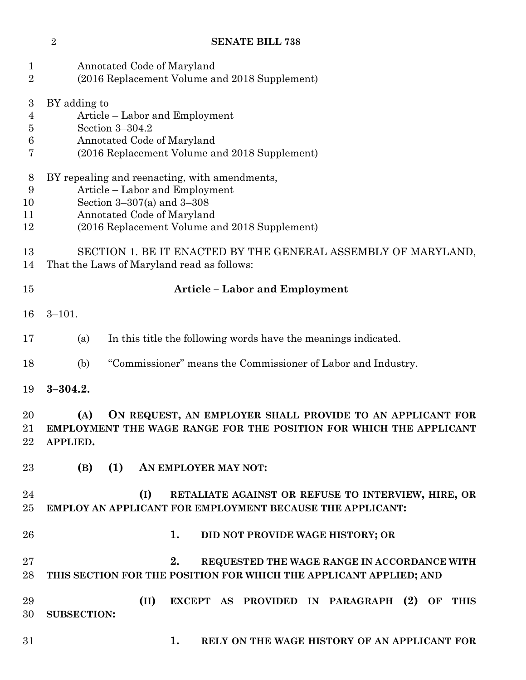| $\mathbf{1}$<br>$\overline{2}$     | Annotated Code of Maryland<br>(2016 Replacement Volume and 2018 Supplement)                                                                                                                      |  |  |  |  |  |
|------------------------------------|--------------------------------------------------------------------------------------------------------------------------------------------------------------------------------------------------|--|--|--|--|--|
| 3<br>$\overline{4}$<br>5<br>6<br>7 | BY adding to<br>Article – Labor and Employment<br>Section 3-304.2<br>Annotated Code of Maryland<br>(2016 Replacement Volume and 2018 Supplement)                                                 |  |  |  |  |  |
| 8<br>9<br>10<br>11<br>12           | BY repealing and reenacting, with amendments,<br>Article – Labor and Employment<br>Section $3-307(a)$ and $3-308$<br>Annotated Code of Maryland<br>(2016 Replacement Volume and 2018 Supplement) |  |  |  |  |  |
| 13<br>14                           | SECTION 1. BE IT ENACTED BY THE GENERAL ASSEMBLY OF MARYLAND,<br>That the Laws of Maryland read as follows:                                                                                      |  |  |  |  |  |
| 15                                 | <b>Article - Labor and Employment</b>                                                                                                                                                            |  |  |  |  |  |
| 16                                 | $3 - 101.$                                                                                                                                                                                       |  |  |  |  |  |
| 17                                 | In this title the following words have the meanings indicated.<br>(a)                                                                                                                            |  |  |  |  |  |
| 18                                 | "Commissioner" means the Commissioner of Labor and Industry.<br>(b)                                                                                                                              |  |  |  |  |  |
| 19                                 | $3 - 304.2.$                                                                                                                                                                                     |  |  |  |  |  |
| 20<br>21<br>22                     | (A)<br>ON REQUEST, AN EMPLOYER SHALL PROVIDE TO AN APPLICANT FOR<br>EMPLOYMENT THE WAGE RANGE FOR THE POSITION FOR WHICH THE APPLICANT<br>APPLIED.                                               |  |  |  |  |  |
| 23                                 | (B)<br>(1)<br>AN EMPLOYER MAY NOT:                                                                                                                                                               |  |  |  |  |  |
| 24<br>25                           | (I)<br>RETALIATE AGAINST OR REFUSE TO INTERVIEW, HIRE, OR<br>EMPLOY AN APPLICANT FOR EMPLOYMENT BECAUSE THE APPLICANT:                                                                           |  |  |  |  |  |
| 26                                 | 1.<br>DID NOT PROVIDE WAGE HISTORY; OR                                                                                                                                                           |  |  |  |  |  |
| 27<br>28                           | 2.<br>REQUESTED THE WAGE RANGE IN ACCORDANCE WITH<br>THIS SECTION FOR THE POSITION FOR WHICH THE APPLICANT APPLIED; AND                                                                          |  |  |  |  |  |
| 29<br>30                           | (II)<br>EXCEPT AS PROVIDED IN PARAGRAPH (2) OF THIS<br><b>SUBSECTION:</b>                                                                                                                        |  |  |  |  |  |
| 31                                 | 1.<br>RELY ON THE WAGE HISTORY OF AN APPLICANT FOR                                                                                                                                               |  |  |  |  |  |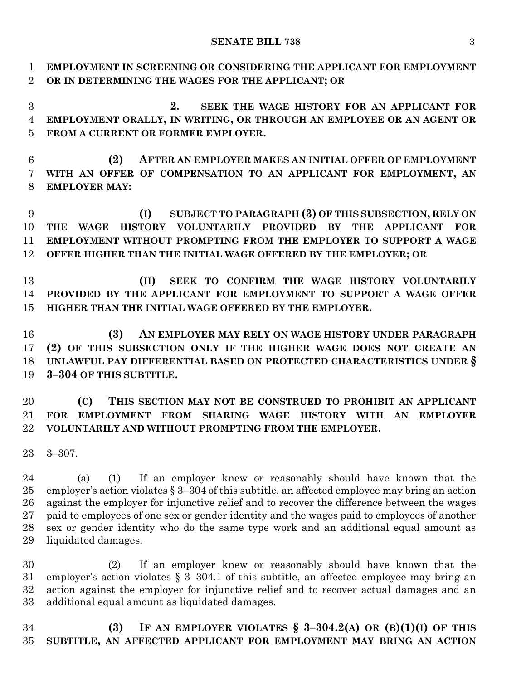**EMPLOYMENT IN SCREENING OR CONSIDERING THE APPLICANT FOR EMPLOYMENT OR IN DETERMINING THE WAGES FOR THE APPLICANT; OR**

 **2. SEEK THE WAGE HISTORY FOR AN APPLICANT FOR EMPLOYMENT ORALLY, IN WRITING, OR THROUGH AN EMPLOYEE OR AN AGENT OR FROM A CURRENT OR FORMER EMPLOYER.**

 **(2) AFTER AN EMPLOYER MAKES AN INITIAL OFFER OF EMPLOYMENT WITH AN OFFER OF COMPENSATION TO AN APPLICANT FOR EMPLOYMENT, AN EMPLOYER MAY:**

 **(I) SUBJECT TO PARAGRAPH (3) OF THIS SUBSECTION, RELY ON THE WAGE HISTORY VOLUNTARILY PROVIDED BY THE APPLICANT FOR EMPLOYMENT WITHOUT PROMPTING FROM THE EMPLOYER TO SUPPORT A WAGE OFFER HIGHER THAN THE INITIAL WAGE OFFERED BY THE EMPLOYER; OR**

 **(II) SEEK TO CONFIRM THE WAGE HISTORY VOLUNTARILY PROVIDED BY THE APPLICANT FOR EMPLOYMENT TO SUPPORT A WAGE OFFER HIGHER THAN THE INITIAL WAGE OFFERED BY THE EMPLOYER.**

 **(3) AN EMPLOYER MAY RELY ON WAGE HISTORY UNDER PARAGRAPH (2) OF THIS SUBSECTION ONLY IF THE HIGHER WAGE DOES NOT CREATE AN UNLAWFUL PAY DIFFERENTIAL BASED ON PROTECTED CHARACTERISTICS UNDER § 3–304 OF THIS SUBTITLE.**

 **(C) THIS SECTION MAY NOT BE CONSTRUED TO PROHIBIT AN APPLICANT FOR EMPLOYMENT FROM SHARING WAGE HISTORY WITH AN EMPLOYER VOLUNTARILY AND WITHOUT PROMPTING FROM THE EMPLOYER.**

3–307.

 (a) (1) If an employer knew or reasonably should have known that the employer's action violates § 3–304 of this subtitle, an affected employee may bring an action against the employer for injunctive relief and to recover the difference between the wages paid to employees of one sex or gender identity and the wages paid to employees of another sex or gender identity who do the same type work and an additional equal amount as liquidated damages.

 (2) If an employer knew or reasonably should have known that the employer's action violates § 3–304.1 of this subtitle, an affected employee may bring an action against the employer for injunctive relief and to recover actual damages and an additional equal amount as liquidated damages.

 **(3) IF AN EMPLOYER VIOLATES § 3–304.2(A) OR (B)(1)(I) OF THIS SUBTITLE, AN AFFECTED APPLICANT FOR EMPLOYMENT MAY BRING AN ACTION**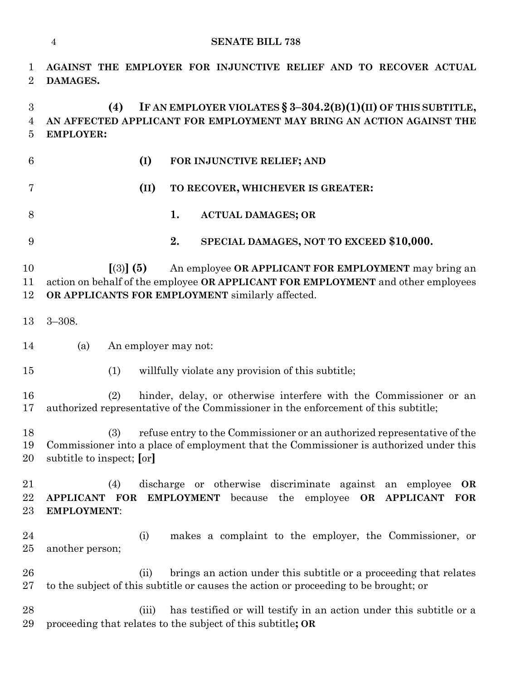```
1 AGAINST THE EMPLOYER FOR INJUNCTIVE RELIEF AND TO RECOVER ACTUAL 
2 DAMAGES.
3 (4) IF AN EMPLOYER VIOLATES § 3–304.2(B)(1)(II) OF THIS SUBTITLE,
4 AN AFFECTED APPLICANT FOR EMPLOYMENT MAY BRING AN ACTION AGAINST THE 
5 EMPLOYER:
6 (I) FOR INJUNCTIVE RELIEF; AND
7 (II) TO RECOVER, WHICHEVER IS GREATER:
8 1. ACTUAL DAMAGES; OR
9 2. SPECIAL DAMAGES, NOT TO EXCEED $10,000.
10 [(3)] (5) An employee OR APPLICANT FOR EMPLOYMENT may bring an 
11 action on behalf of the employee OR APPLICANT FOR EMPLOYMENT and other employees 
12 OR APPLICANTS FOR EMPLOYMENT similarly affected.
13 3–308.
14 (a) An employer may not:
15 (1) willfully violate any provision of this subtitle;
16 (2) hinder, delay, or otherwise interfere with the Commissioner or an 
17 authorized representative of the Commissioner in the enforcement of this subtitle;
18 (3) refuse entry to the Commissioner or an authorized representative of the 
19 Commissioner into a place of employment that the Commissioner is authorized under this 
20 subtitle to inspect; [or]
21 (4) discharge or otherwise discriminate against an employee OR 
22 APPLICANT FOR EMPLOYMENT because the employee OR APPLICANT FOR 
23 EMPLOYMENT:
24 (i) makes a complaint to the employer, the Commissioner, or 
25 another person;
26 (ii) brings an action under this subtitle or a proceeding that relates
27 to the subject of this subtitle or causes the action or proceeding to be brought; or
28 (iii) has testified or will testify in an action under this subtitle or a 
29 proceeding that relates to the subject of this subtitle; OR
```
**SENATE BILL 738**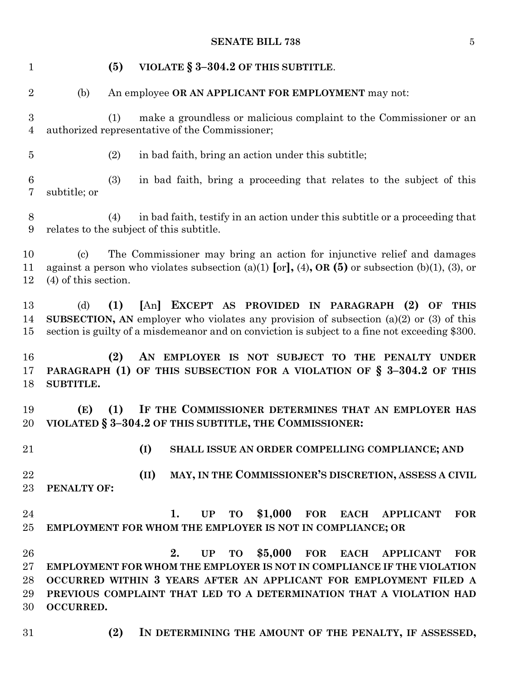### **SENATE BILL 738** 5

| $\mathbf{1}$                       |                                                      | (5) | VIOLATE § 3-304.2 OF THIS SUBTITLE.                                                                                                                                                                                                                                                                                                 |
|------------------------------------|------------------------------------------------------|-----|-------------------------------------------------------------------------------------------------------------------------------------------------------------------------------------------------------------------------------------------------------------------------------------------------------------------------------------|
| $\overline{2}$                     | (b)                                                  |     | An employee OR AN APPLICANT FOR EMPLOYMENT may not:                                                                                                                                                                                                                                                                                 |
| $\boldsymbol{3}$<br>$\overline{4}$ |                                                      | (1) | make a groundless or malicious complaint to the Commissioner or an<br>authorized representative of the Commissioner;                                                                                                                                                                                                                |
| $\overline{5}$                     |                                                      | (2) | in bad faith, bring an action under this subtitle;                                                                                                                                                                                                                                                                                  |
| $6\phantom{.}6$<br>$\overline{7}$  | subtitle; or                                         | (3) | in bad faith, bring a proceeding that relates to the subject of this                                                                                                                                                                                                                                                                |
| $8\,$<br>9                         |                                                      | (4) | in bad faith, testify in an action under this subtitle or a proceeding that<br>relates to the subject of this subtitle.                                                                                                                                                                                                             |
| 10<br>11<br>12                     | $\left( \mathrm{c}\right)$<br>$(4)$ of this section. |     | The Commissioner may bring an action for injunctive relief and damages<br>against a person who violates subsection (a)(1) [or], (4), OR (5) or subsection (b)(1), (3), or                                                                                                                                                           |
| 13<br>14<br>15                     | (d)                                                  | (1) | [An] EXCEPT AS PROVIDED IN PARAGRAPH (2)<br>OF<br><b>THIS</b><br><b>SUBSECTION, AN</b> employer who violates any provision of subsection $(a)(2)$ or $(3)$ of this<br>section is guilty of a misdemeanor and on conviction is subject to a fine not exceeding \$300.                                                                |
| 16<br>17<br>18                     | SUBTITLE.                                            | (2) | AN EMPLOYER IS NOT SUBJECT TO THE PENALTY UNDER<br>PARAGRAPH (1) OF THIS SUBSECTION FOR A VIOLATION OF § 3-304.2 OF THIS                                                                                                                                                                                                            |
| 19<br>20                           | (E)                                                  | (1) | IF THE COMMISSIONER DETERMINES THAT AN EMPLOYER HAS<br>VIOLATED § 3-304.2 OF THIS SUBTITLE, THE COMMISSIONER:                                                                                                                                                                                                                       |
| 21                                 |                                                      |     | (I)<br>SHALL ISSUE AN ORDER COMPELLING COMPLIANCE; AND                                                                                                                                                                                                                                                                              |
| 22<br>23                           | PENALTY OF:                                          |     | MAY, IN THE COMMISSIONER'S DISCRETION, ASSESS A CIVIL<br>(II)                                                                                                                                                                                                                                                                       |
| 24<br>25                           |                                                      |     | $$1,000$ for each<br><b>TO</b><br><b>FOR</b><br>1.<br>UP<br><b>APPLICANT</b><br>EMPLOYMENT FOR WHOM THE EMPLOYER IS NOT IN COMPLIANCE; OR                                                                                                                                                                                           |
| 26<br>27<br>28<br>29<br>30         | <b>OCCURRED.</b>                                     |     | \$5,000<br>2.<br><b>FOR</b><br><b>UP</b><br><b>TO</b><br><b>EACH</b><br><b>FOR</b><br><b>APPLICANT</b><br><b>EMPLOYMENT FOR WHOM THE EMPLOYER IS NOT IN COMPLIANCE IF THE VIOLATION</b><br>OCCURRED WITHIN 3 YEARS AFTER AN APPLICANT FOR EMPLOYMENT FILED A<br>PREVIOUS COMPLAINT THAT LED TO A DETERMINATION THAT A VIOLATION HAD |
| 31                                 |                                                      | (2) | IN DETERMINING THE AMOUNT OF THE PENALTY, IF ASSESSED,                                                                                                                                                                                                                                                                              |